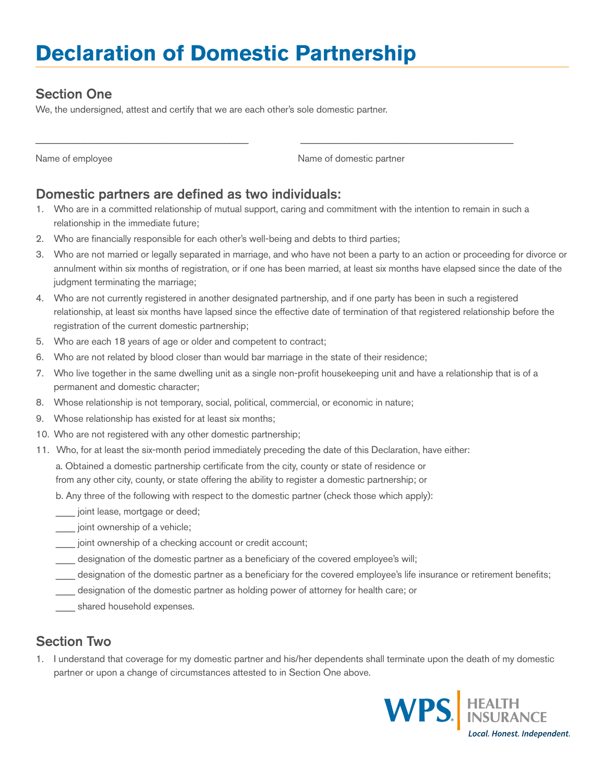# **Declaration of Domestic Partnership**

### Section One

We, the undersigned, attest and certify that we are each other's sole domestic partner.

Name of employee

Name of domestic partner

#### Domestic partners are defined as two individuals:

- 1. Who are in a committed relationship of mutual support, caring and commitment with the intention to remain in such a relationship in the immediate future;
- 2. Who are financially responsible for each other's well-being and debts to third parties;
- 3. Who are not married or legally separated in marriage, and who have not been a party to an action or proceeding for divorce or annulment within six months of registration, or if one has been married, at least six months have elapsed since the date of the judgment terminating the marriage;
- 4. Who are not currently registered in another designated partnership, and if one party has been in such a registered relationship, at least six months have lapsed since the effective date of termination of that registered relationship before the registration of the current domestic partnership;
- 5. Who are each 18 years of age or older and competent to contract;
- 6. Who are not related by blood closer than would bar marriage in the state of their residence;
- 7. Who live together in the same dwelling unit as a single non-profit housekeeping unit and have a relationship that is of a permanent and domestic character;
- 8. Whose relationship is not temporary, social, political, commercial, or economic in nature;
- 9. Whose relationship has existed for at least six months;
- 10. Who are not registered with any other domestic partnership;
- 11. Who, for at least the six-month period immediately preceding the date of this Declaration, have either:

a. Obtained a domestic partnership certificate from the city, county or state of residence or from any other city, county, or state offering the ability to register a domestic partnership; or

- b. Any three of the following with respect to the domestic partner (check those which apply):
- \_\_\_\_ joint lease, mortgage or deed;
- joint ownership of a vehicle;
- \_\_\_\_ joint ownership of a checking account or credit account;
- designation of the domestic partner as a beneficiary of the covered employee's will;
- \_\_\_\_ designation of the domestic partner as a beneficiary for the covered employee's life insurance or retirement benefits;
- designation of the domestic partner as holding power of attorney for health care; or
- shared household expenses.

### Section Two

1. I understand that coverage for my domestic partner and his/her dependents shall terminate upon the death of my domestic partner or upon a change of circumstances attested to in Section One above.